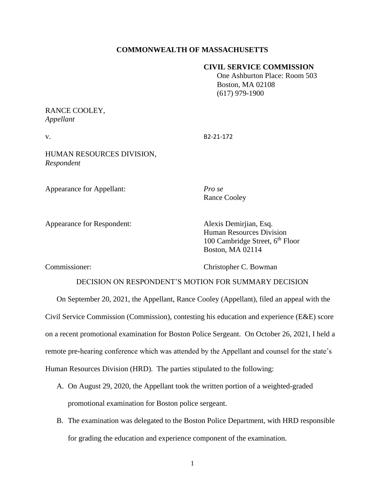## **COMMONWEALTH OF MASSACHUSETTS**

## **CIVIL SERVICE COMMISSION**

 One Ashburton Place: Room 503 Boston, MA 02108 (617) 979-1900

# RANCE COOLEY, *Appellant*

v. B2-21-172

HUMAN RESOURCES DIVISION, *Respondent*

Appearance for Appellant: *Pro se*

Rance Cooley

Appearance for Respondent: Alexis Demirjian, Esq.

Human Resources Division 100 Cambridge Street,  $6<sup>th</sup>$  Floor Boston, MA 02114

Commissioner: Christopher C. Bowman

# DECISION ON RESPONDENT'S MOTION FOR SUMMARY DECISION

On September 20, 2021, the Appellant, Rance Cooley (Appellant), filed an appeal with the Civil Service Commission (Commission), contesting his education and experience (E&E) score on a recent promotional examination for Boston Police Sergeant. On October 26, 2021, I held a remote pre-hearing conference which was attended by the Appellant and counsel for the state's Human Resources Division (HRD). The parties stipulated to the following:

- A. On August 29, 2020, the Appellant took the written portion of a weighted-graded promotional examination for Boston police sergeant.
- B. The examination was delegated to the Boston Police Department, with HRD responsible for grading the education and experience component of the examination.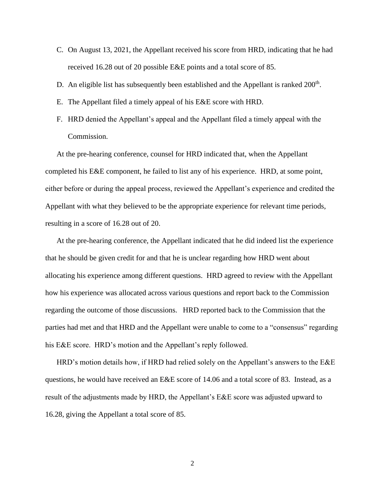- C. On August 13, 2021, the Appellant received his score from HRD, indicating that he had received 16.28 out of 20 possible E&E points and a total score of 85.
- D. An eligible list has subsequently been established and the Appellant is ranked 200<sup>th</sup>.
- E. The Appellant filed a timely appeal of his E&E score with HRD.
- F. HRD denied the Appellant's appeal and the Appellant filed a timely appeal with the Commission.

At the pre-hearing conference, counsel for HRD indicated that, when the Appellant completed his E&E component, he failed to list any of his experience. HRD, at some point, either before or during the appeal process, reviewed the Appellant's experience and credited the Appellant with what they believed to be the appropriate experience for relevant time periods, resulting in a score of 16.28 out of 20.

At the pre-hearing conference, the Appellant indicated that he did indeed list the experience that he should be given credit for and that he is unclear regarding how HRD went about allocating his experience among different questions. HRD agreed to review with the Appellant how his experience was allocated across various questions and report back to the Commission regarding the outcome of those discussions. HRD reported back to the Commission that the parties had met and that HRD and the Appellant were unable to come to a "consensus" regarding his E&E score. HRD's motion and the Appellant's reply followed.

HRD's motion details how, if HRD had relied solely on the Appellant's answers to the E&E questions, he would have received an E&E score of 14.06 and a total score of 83. Instead, as a result of the adjustments made by HRD, the Appellant's E&E score was adjusted upward to 16.28, giving the Appellant a total score of 85.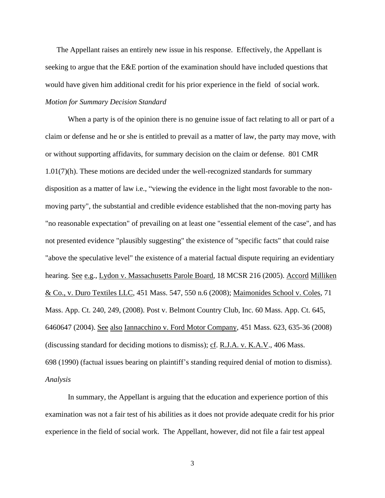The Appellant raises an entirely new issue in his response. Effectively, the Appellant is seeking to argue that the E&E portion of the examination should have included questions that would have given him additional credit for his prior experience in the field of social work. *Motion for Summary Decision Standard*

When a party is of the opinion there is no genuine issue of fact relating to all or part of a claim or defense and he or she is entitled to prevail as a matter of law, the party may move, with or without supporting affidavits, for summary decision on the claim or defense. 801 CMR 1.01(7)(h). These motions are decided under the well-recognized standards for summary disposition as a matter of law i.e., "viewing the evidence in the light most favorable to the nonmoving party", the substantial and credible evidence established that the non-moving party has "no reasonable expectation" of prevailing on at least one "essential element of the case", and has not presented evidence "plausibly suggesting" the existence of "specific facts" that could raise "above the speculative level" the existence of a material factual dispute requiring an evidentiary hearing. See e.g., Lydon v. Massachusetts Parole Board, 18 MCSR 216 (2005). Accord Milliken & Co., v. Duro Textiles LLC, [451 Mass. 547,](http://sll.gvpi.net/document.php?field=jd&value=sjcapp:451_mass._547) 550 n.6 (2008); Maimonides School v. Coles, 71 Mass. App. Ct. 240, 249, (2008). Post v. Belmont Country Club, Inc. 60 Mass. App. Ct. 645, 6460647 (2004). See also Iannacchino v. Ford Motor Company, [451 Mass. 623,](http://sll.gvpi.net/document.php?field=jd&value=sjcapp:451_mass._623) 635-36 (2008) (discussing standard for deciding motions to dismiss); cf. R.J.A. v. K.A.V., [406 Mass.](http://sll.gvpi.net/document.php?field=jd&value=sjcapp:406_mass._698)  [698](http://sll.gvpi.net/document.php?field=jd&value=sjcapp:406_mass._698) (1990) (factual issues bearing on plaintiff's standing required denial of motion to dismiss). *Analysis*

In summary, the Appellant is arguing that the education and experience portion of this examination was not a fair test of his abilities as it does not provide adequate credit for his prior experience in the field of social work. The Appellant, however, did not file a fair test appeal

3